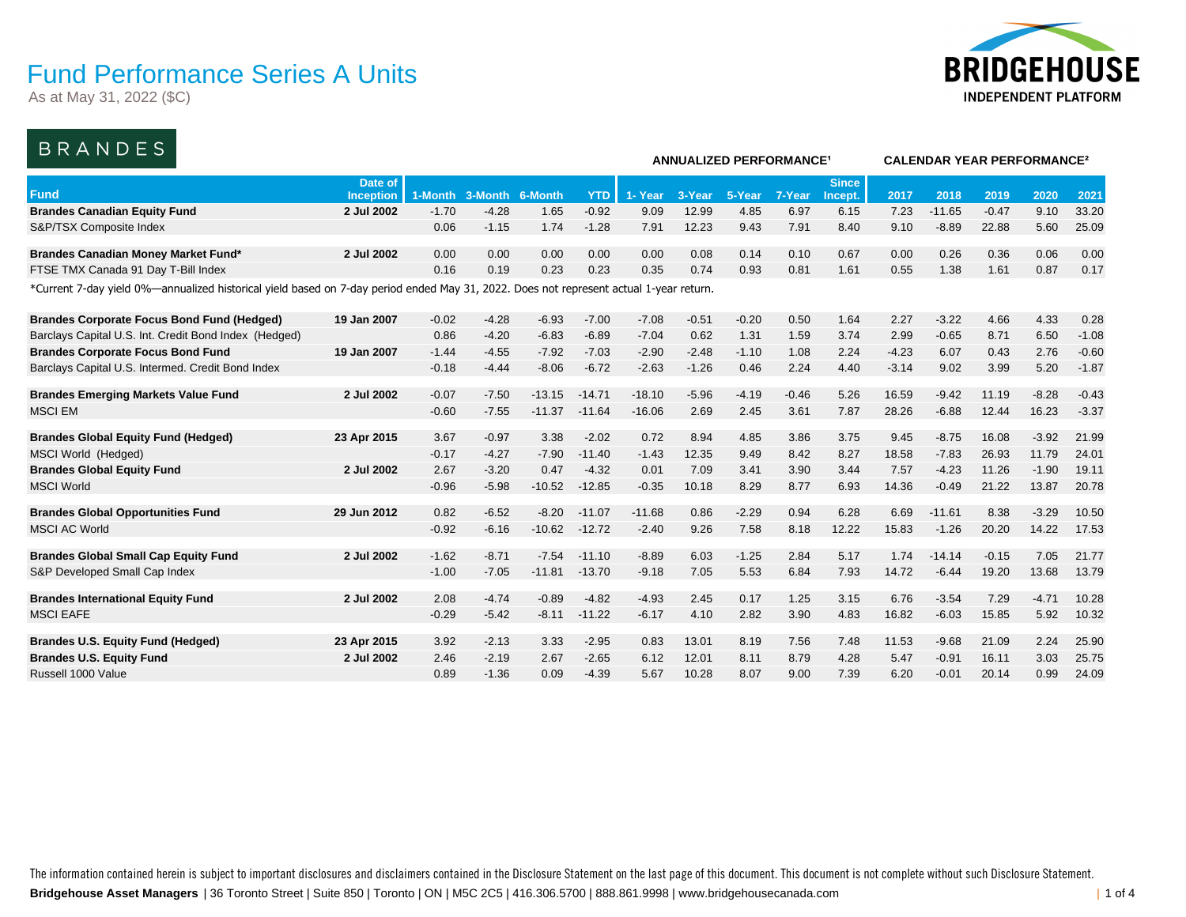As at May 31, 2022 (\$C)



**ANNUALIZED PERFORMANCE¹ CALENDAR YEAR PERFORMANCE²**

### BRANDES

|                                                                                                                                        |                  |         |         |          |            | ANNUALIZED PERFORMANGE |         |         |         |              |         | CALENDAR TEAR PERFORMANCE <sup>-</sup> |         |         |         |  |  |  |
|----------------------------------------------------------------------------------------------------------------------------------------|------------------|---------|---------|----------|------------|------------------------|---------|---------|---------|--------------|---------|----------------------------------------|---------|---------|---------|--|--|--|
|                                                                                                                                        | Date of          |         |         |          |            |                        |         |         |         | <b>Since</b> |         |                                        |         |         |         |  |  |  |
| <b>Fund</b>                                                                                                                            | <b>Inception</b> | 1-Month | 3-Month | 6-Month  | <b>YTD</b> | 1-Year                 | 3-Year  | 5-Year  | 7-Year  | Incept.      | 2017    | 2018                                   | 2019    | 2020    | 2021    |  |  |  |
| <b>Brandes Canadian Equity Fund</b>                                                                                                    | 2 Jul 2002       | $-1.70$ | $-4.28$ | 1.65     | $-0.92$    | 9.09                   | 12.99   | 4.85    | 6.97    | 6.15         | 7.23    | $-11.65$                               | $-0.47$ | 9.10    | 33.20   |  |  |  |
| S&P/TSX Composite Index                                                                                                                |                  | 0.06    | $-1.15$ | 1.74     | $-1.28$    | 7.91                   | 12.23   | 9.43    | 7.91    | 8.40         | 9.10    | $-8.89$                                | 22.88   | 5.60    | 25.09   |  |  |  |
| Brandes Canadian Money Market Fund*                                                                                                    | 2 Jul 2002       | 0.00    | 0.00    | 0.00     | 0.00       | 0.00                   | 0.08    | 0.14    | 0.10    | 0.67         | 0.00    | 0.26                                   | 0.36    | 0.06    | 0.00    |  |  |  |
| FTSE TMX Canada 91 Day T-Bill Index                                                                                                    |                  | 0.16    | 0.19    | 0.23     | 0.23       | 0.35                   | 0.74    | 0.93    | 0.81    | 1.61         | 0.55    | 1.38                                   | 1.61    | 0.87    | 0.17    |  |  |  |
| *Current 7-day yield 0%—annualized historical yield based on 7-day period ended May 31, 2022. Does not represent actual 1-year return. |                  |         |         |          |            |                        |         |         |         |              |         |                                        |         |         |         |  |  |  |
|                                                                                                                                        |                  |         |         |          |            |                        |         |         |         |              |         |                                        |         |         |         |  |  |  |
| <b>Brandes Corporate Focus Bond Fund (Hedged)</b>                                                                                      | 19 Jan 2007      | $-0.02$ | $-4.28$ | $-6.93$  | $-7.00$    | $-7.08$                | $-0.51$ | $-0.20$ | 0.50    | 1.64         | 2.27    | $-3.22$                                | 4.66    | 4.33    | 0.28    |  |  |  |
| Barclays Capital U.S. Int. Credit Bond Index (Hedged)                                                                                  |                  | 0.86    | $-4.20$ | $-6.83$  | $-6.89$    | $-7.04$                | 0.62    | 1.31    | 1.59    | 3.74         | 2.99    | $-0.65$                                | 8.71    | 6.50    | $-1.08$ |  |  |  |
| <b>Brandes Corporate Focus Bond Fund</b>                                                                                               | 19 Jan 2007      | $-1.44$ | $-4.55$ | $-7.92$  | $-7.03$    | $-2.90$                | $-2.48$ | $-1.10$ | 1.08    | 2.24         | $-4.23$ | 6.07                                   | 0.43    | 2.76    | $-0.60$ |  |  |  |
| Barclays Capital U.S. Intermed. Credit Bond Index                                                                                      |                  | $-0.18$ | $-4.44$ | $-8.06$  | $-6.72$    | $-2.63$                | $-1.26$ | 0.46    | 2.24    | 4.40         | $-3.14$ | 9.02                                   | 3.99    | 5.20    | $-1.87$ |  |  |  |
| <b>Brandes Emerging Markets Value Fund</b>                                                                                             | 2 Jul 2002       | $-0.07$ | $-7.50$ | $-13.15$ | $-14.71$   | $-18.10$               | $-5.96$ | $-4.19$ | $-0.46$ | 5.26         | 16.59   | $-9.42$                                | 11.19   | $-8.28$ | $-0.43$ |  |  |  |
| <b>MSCI EM</b>                                                                                                                         |                  | $-0.60$ | $-7.55$ | $-11.37$ | $-11.64$   | $-16.06$               | 2.69    | 2.45    | 3.61    | 7.87         | 28.26   | $-6.88$                                | 12.44   | 16.23   | $-3.37$ |  |  |  |
|                                                                                                                                        |                  |         |         |          |            |                        |         |         |         |              |         |                                        |         |         |         |  |  |  |
| <b>Brandes Global Equity Fund (Hedged)</b>                                                                                             | 23 Apr 2015      | 3.67    | $-0.97$ | 3.38     | $-2.02$    | 0.72                   | 8.94    | 4.85    | 3.86    | 3.75         | 9.45    | $-8.75$                                | 16.08   | $-3.92$ | 21.99   |  |  |  |
| MSCI World (Hedged)                                                                                                                    |                  | $-0.17$ | $-4.27$ | $-7.90$  | $-11.40$   | $-1.43$                | 12.35   | 9.49    | 8.42    | 8.27         | 18.58   | $-7.83$                                | 26.93   | 11.79   | 24.01   |  |  |  |
| <b>Brandes Global Equity Fund</b>                                                                                                      | 2 Jul 2002       | 2.67    | $-3.20$ | 0.47     | $-4.32$    | 0.01                   | 7.09    | 3.41    | 3.90    | 3.44         | 7.57    | $-4.23$                                | 11.26   | $-1.90$ | 19.11   |  |  |  |
| <b>MSCI World</b>                                                                                                                      |                  | $-0.96$ | $-5.98$ | $-10.52$ | $-12.85$   | $-0.35$                | 10.18   | 8.29    | 8.77    | 6.93         | 14.36   | $-0.49$                                | 21.22   | 13.87   | 20.78   |  |  |  |
|                                                                                                                                        |                  |         |         |          |            |                        |         |         |         |              |         |                                        |         |         |         |  |  |  |
| <b>Brandes Global Opportunities Fund</b>                                                                                               | 29 Jun 2012      | 0.82    | $-6.52$ | $-8.20$  | $-11.07$   | $-11.68$               | 0.86    | $-2.29$ | 0.94    | 6.28         | 6.69    | $-11.61$                               | 8.38    | $-3.29$ | 10.50   |  |  |  |
| <b>MSCI AC World</b>                                                                                                                   |                  | $-0.92$ | $-6.16$ | $-10.62$ | $-12.72$   | $-2.40$                | 9.26    | 7.58    | 8.18    | 12.22        | 15.83   | $-1.26$                                | 20.20   | 14.22   | 17.53   |  |  |  |
| <b>Brandes Global Small Cap Equity Fund</b>                                                                                            | 2 Jul 2002       | $-1.62$ | $-8.71$ | $-7.54$  | $-11.10$   | $-8.89$                | 6.03    | $-1.25$ | 2.84    | 5.17         | 1.74    | $-14.14$                               | $-0.15$ | 7.05    | 21.77   |  |  |  |
| S&P Developed Small Cap Index                                                                                                          |                  | $-1.00$ | $-7.05$ | $-11.81$ | $-13.70$   | $-9.18$                | 7.05    | 5.53    | 6.84    | 7.93         | 14.72   | $-6.44$                                | 19.20   | 13.68   | 13.79   |  |  |  |
|                                                                                                                                        |                  |         |         |          |            |                        |         |         |         |              |         |                                        |         |         |         |  |  |  |
| <b>Brandes International Equity Fund</b>                                                                                               | 2 Jul 2002       | 2.08    | $-4.74$ | $-0.89$  | $-4.82$    | $-4.93$                | 2.45    | 0.17    | 1.25    | 3.15         | 6.76    | $-3.54$                                | 7.29    | $-4.71$ | 10.28   |  |  |  |
| <b>MSCI EAFE</b>                                                                                                                       |                  | $-0.29$ | $-5.42$ | $-8.11$  | $-11.22$   | $-6.17$                | 4.10    | 2.82    | 3.90    | 4.83         | 16.82   | $-6.03$                                | 15.85   | 5.92    | 10.32   |  |  |  |
| <b>Brandes U.S. Equity Fund (Hedged)</b>                                                                                               | 23 Apr 2015      | 3.92    | $-2.13$ | 3.33     | $-2.95$    | 0.83                   | 13.01   | 8.19    | 7.56    | 7.48         | 11.53   | $-9.68$                                | 21.09   | 2.24    | 25.90   |  |  |  |
| <b>Brandes U.S. Equity Fund</b>                                                                                                        | 2 Jul 2002       | 2.46    | $-2.19$ | 2.67     | $-2.65$    | 6.12                   | 12.01   | 8.11    | 8.79    | 4.28         | 5.47    | $-0.91$                                | 16.11   | 3.03    | 25.75   |  |  |  |
| Russell 1000 Value                                                                                                                     |                  | 0.89    | $-1.36$ | 0.09     | $-4.39$    | 5.67                   | 10.28   | 8.07    | 9.00    | 7.39         | 6.20    | $-0.01$                                | 20.14   | 0.99    | 24.09   |  |  |  |
|                                                                                                                                        |                  |         |         |          |            |                        |         |         |         |              |         |                                        |         |         |         |  |  |  |

**Bridgehouse Asset Managers** | 36 Toronto Street | Suite 850 | Toronto | ON | M5C 2C5 | 416.306.5700 | 888.861.9998 | www.bridgehousecanada.com | 1 of 4 The information contained herein is subject to important disclosures and disclaimers contained in the Disclosure Statement on the last page of this document. This document is not complete without such Disclosure Statement.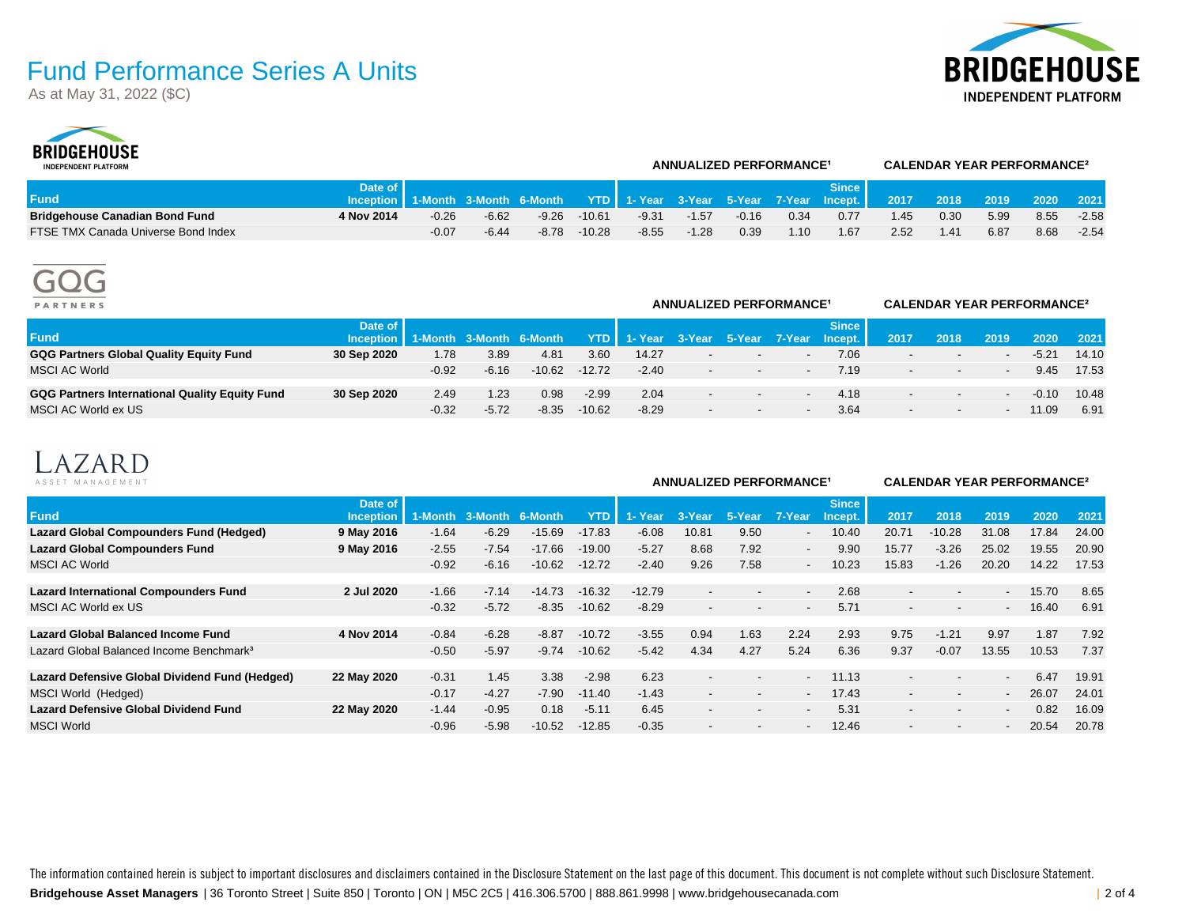As at May 31, 2022 (\$C)





| --------------<br><b>INDEPENDENT PLATFORM</b> |                                                                                       |         | <b>ANNUALIZED PERFORMANCE<sup>1</sup></b> |         |          | <b>CALENDAR YEAR PERFORMANCE<sup>2</sup></b> |         |         |      |         |      |         |                |      |         |
|-----------------------------------------------|---------------------------------------------------------------------------------------|---------|-------------------------------------------|---------|----------|----------------------------------------------|---------|---------|------|---------|------|---------|----------------|------|---------|
|                                               | Date of I                                                                             |         |                                           |         |          |                                              |         |         |      | Since l |      |         |                |      |         |
| <b>Fund</b>                                   | lnception   1-Month 3-Month 6-Month YTD   1- Year 3-Year 5-Year 7-Year Incept.   2017 |         |                                           |         |          |                                              |         |         |      |         |      | $-2018$ | 2019 2020 2021 |      |         |
| <b>Bridgehouse Canadian Bond Fund</b>         | 4 Nov 2014                                                                            | $-0.26$ | $-6.62$                                   | $-9.26$ | $-10.61$ | $-9.31$                                      | $-1.57$ | $-0.16$ | 0.34 | 0.77    | 1.45 | 0.30    | 5.99           | 8.55 | $-2.58$ |
| FTSE TMX Canada Universe Bond Index           |                                                                                       | $-0.07$ | $-6.44$                                   | $-8.78$ | $-10.28$ | $-8.55$                                      | $-1.28$ | 0.39    | 1.10 | l.67    | 2.52 | 1.41    | 6.87           | 8.68 | $-2.54$ |



| <b>PARTNERS</b>                                |                                              |         |         |          |            | <b>ANNUALIZED PERFORMANCE<sup>1</sup></b> |                          | <b>CALENDAR YEAR PERFORMANCE<sup>2</sup></b> |        |              |                          |                          |      |         |       |
|------------------------------------------------|----------------------------------------------|---------|---------|----------|------------|-------------------------------------------|--------------------------|----------------------------------------------|--------|--------------|--------------------------|--------------------------|------|---------|-------|
| <b>Fund</b>                                    | Date of<br>Inception 1-Month 3-Month 6-Month |         |         |          | <b>YTD</b> | 1- Year 3-Year 5-Year 7-Year Incept.      |                          |                                              |        | <b>Since</b> | 2017                     | 2018                     | 2019 | 2020    | 2021  |
| GQG Partners Global Quality Equity Fund        | 30 Sep 2020                                  | 1.78    | 3.89    | 4.81     | 3.60       | 14.27                                     | $\overline{\phantom{0}}$ | $\overline{\phantom{a}}$                     |        | 7.06         |                          | $\overline{\phantom{a}}$ |      | $-5.21$ | 14.10 |
| <b>MSCI AC World</b>                           |                                              | $-0.92$ | $-6.16$ | $-10.62$ | $-12.72$   | $-2.40$                                   | $\sim$                   | $\overline{\phantom{a}}$                     |        | 7.19         |                          | $\sim$                   |      | 9.45    | 17.53 |
| GQG Partners International Quality Equity Fund | 30 Sep 2020                                  | 2.49    | 1.23    | 0.98     | $-2.99$    | 2.04                                      | $\overline{a}$           | $\sim$                                       | $\sim$ | 4.18         | $\overline{\phantom{a}}$ | $\sim$                   |      | $-0.10$ | 10.48 |
| MSCI AC World ex US                            |                                              | $-0.32$ | $-5.72$ | $-8.35$  | $-10.62$   | $-8.29$                                   | $\overline{a}$           | $\overline{\phantom{a}}$                     |        | 3.64         | $\overline{\phantom{a}}$ | $\sim$                   |      | 11.09   | 6.91  |



| ASSET MANAGEMENT                                     | <b>ANNUALIZED PERFORMANCE<sup>1</sup></b> |         |         |          |          |          |                          |                          |                          | <b>CALENDAR YEAR PERFORMANCE<sup>2</sup></b> |                          |                          |                          |       |       |
|------------------------------------------------------|-------------------------------------------|---------|---------|----------|----------|----------|--------------------------|--------------------------|--------------------------|----------------------------------------------|--------------------------|--------------------------|--------------------------|-------|-------|
| <b>Fund</b>                                          | Date of<br>Inception                      | 1-Month | 3-Month | 6-Month  | YTD      | 1- Year  | 3-Year                   | 5-Year                   | 7-Year                   | <b>Since</b><br>Incept.                      | 2017                     | 2018                     | 2019                     | 2020  | 2021  |
| Lazard Global Compounders Fund (Hedged)              | 9 May 2016                                | $-1.64$ | $-6.29$ | $-15.69$ | $-17.83$ | $-6.08$  | 10.81                    | 9.50                     | $\sim$                   | 10.40                                        | 20.71                    | $-10.28$                 | 31.08                    | 17.84 | 24.00 |
| <b>Lazard Global Compounders Fund</b>                | 9 May 2016                                | $-2.55$ | $-7.54$ | $-17.66$ | $-19.00$ | $-5.27$  | 8.68                     | 7.92                     | $\sim$                   | 9.90                                         | 15.77                    | $-3.26$                  | 25.02                    | 19.55 | 20.90 |
| <b>MSCI AC World</b>                                 |                                           | $-0.92$ | $-6.16$ | $-10.62$ | $-12.72$ | $-2.40$  | 9.26                     | 7.58                     | $\overline{\phantom{a}}$ | 10.23                                        | 15.83                    | $-1.26$                  | 20.20                    | 14.22 | 17.53 |
| <b>Lazard International Compounders Fund</b>         | 2 Jul 2020                                | $-1.66$ | $-7.14$ | $-14.73$ | $-16.32$ | $-12.79$ | $\overline{\phantom{a}}$ | $\overline{\phantom{0}}$ | $\overline{\phantom{a}}$ | 2.68                                         | $\overline{\phantom{a}}$ | $\overline{\phantom{a}}$ | $\sim$                   | 15.70 | 8.65  |
| MSCI AC World ex US                                  |                                           | $-0.32$ | $-5.72$ | $-8.35$  | $-10.62$ | $-8.29$  | $\overline{\phantom{a}}$ | $\overline{\phantom{0}}$ | $\overline{\phantom{a}}$ | 5.71                                         | $\sim$                   | $-$                      | $\sim$                   | 16.40 | 6.91  |
| <b>Lazard Global Balanced Income Fund</b>            | 4 Nov 2014                                | $-0.84$ | $-6.28$ | $-8.87$  | $-10.72$ | $-3.55$  | 0.94                     | 1.63                     | 2.24                     | 2.93                                         | 9.75                     | $-1.21$                  | 9.97                     | 1.87  | 7.92  |
| Lazard Global Balanced Income Benchmark <sup>3</sup> |                                           | $-0.50$ | $-5.97$ | $-9.74$  | $-10.62$ | $-5.42$  | 4.34                     | 4.27                     | 5.24                     | 6.36                                         | 9.37                     | $-0.07$                  | 13.55                    | 10.53 | 7.37  |
| Lazard Defensive Global Dividend Fund (Hedged)       | 22 May 2020                               | $-0.31$ | 1.45    | 3.38     | $-2.98$  | 6.23     | $\overline{\phantom{a}}$ | $\overline{\phantom{a}}$ | $\overline{\phantom{a}}$ | 11.13                                        | $\overline{\phantom{a}}$ | $\overline{\phantom{a}}$ | $\overline{\phantom{a}}$ | 6.47  | 19.91 |
| MSCI World (Hedged)                                  |                                           | $-0.17$ | $-4.27$ | $-7.90$  | $-11.40$ | $-1.43$  | $\overline{\phantom{a}}$ | $\overline{\phantom{a}}$ | $\overline{\phantom{a}}$ | 17.43                                        | $\sim$                   | $\overline{\phantom{a}}$ |                          | 26.07 | 24.01 |
| <b>Lazard Defensive Global Dividend Fund</b>         | 22 May 2020                               | $-1.44$ | $-0.95$ | 0.18     | $-5.11$  | 6.45     | $\overline{\phantom{a}}$ | $\overline{\phantom{0}}$ | $\sim$                   | 5.31                                         | $\sim$                   | $\overline{\phantom{a}}$ | $\overline{\phantom{a}}$ | 0.82  | 16.09 |
| <b>MSCI World</b>                                    |                                           | $-0.96$ | $-5.98$ | $-10.52$ | $-12.85$ | $-0.35$  | $\overline{\phantom{a}}$ |                          | $\overline{\phantom{0}}$ | 12.46                                        | $\sim$                   | $\overline{\phantom{0}}$ |                          | 20.54 | 20.78 |

**Bridgehouse Asset Managers** | 36 Toronto Street | Suite 850 | Toronto | ON | M5C 2C5 | 416.306.5700 | 888.861.9998 | www.bridgehousecanada.com | 2 of 4 The information contained herein is subject to important disclosures and disclaimers contained in the Disclosure Statement on the last page of this document. This document is not complete without such Disclosure Statement.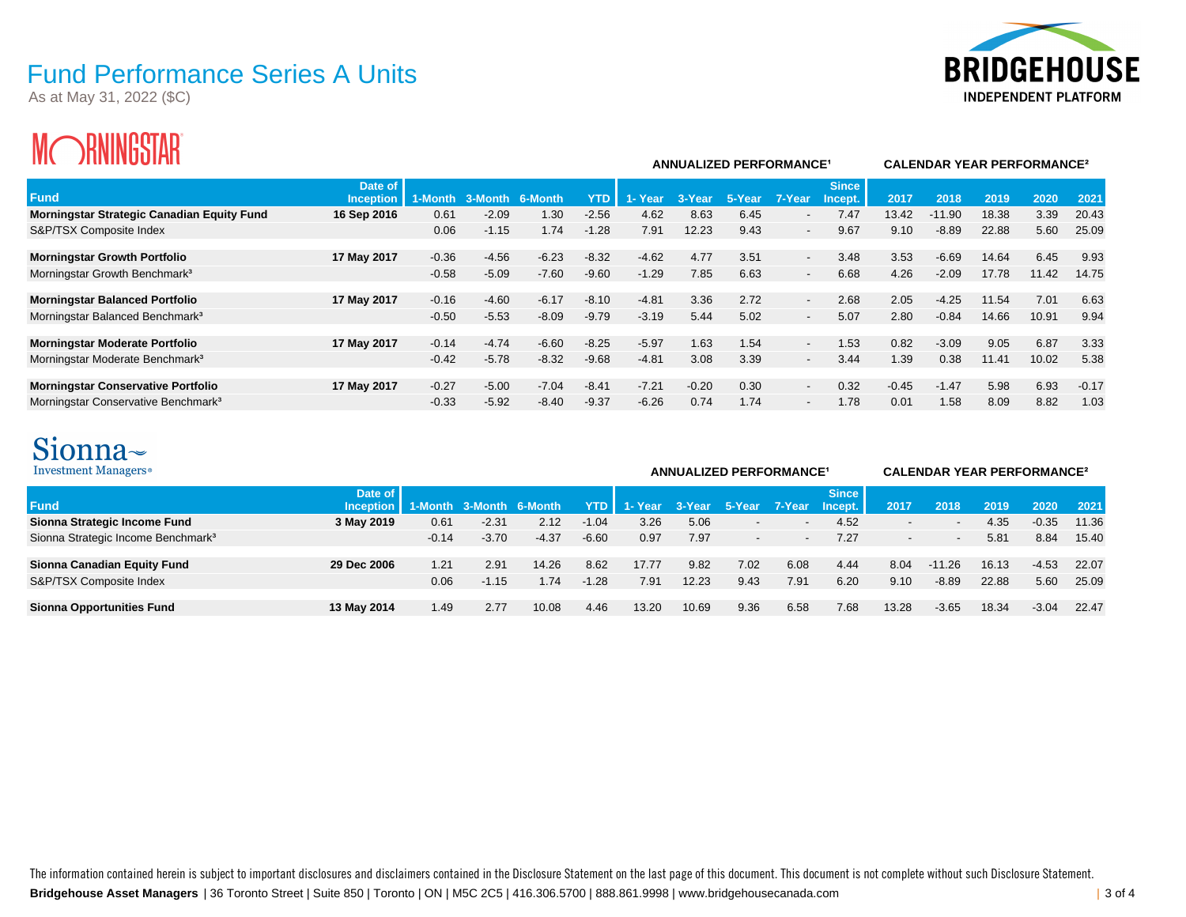As at May 31, 2022 (\$C)



# **MORNINGSTAR**

| ш<br><i>T</i> HININUUIFIN                         |                             |         |                    |         |            |               | <b>ANNUALIZED PERFORMANCE<sup>1</sup></b> |        |                          | <b>CALENDAR YEAR PERFORMANCE<sup>2</sup></b> |         |          |       |       |         |
|---------------------------------------------------|-----------------------------|---------|--------------------|---------|------------|---------------|-------------------------------------------|--------|--------------------------|----------------------------------------------|---------|----------|-------|-------|---------|
| <b>Fund</b>                                       | Date of<br><b>Inception</b> | 1-Month | $3 - M$<br>lonth l | 6-Month | <b>YTD</b> | <b>1-Year</b> | 3-Year                                    | 5-Year | 7-Year                   | <b>Since</b><br>Incept.                      | 2017    | 2018     | 2019  | 2020  | 2021    |
| <b>Morningstar Strategic Canadian Equity Fund</b> | 16 Sep 2016                 | 0.61    | $-2.09$            | 1.30    | $-2.56$    | 4.62          | 8.63                                      | 6.45   | $\overline{\phantom{a}}$ | 7.47                                         | 13.42   | $-11.90$ | 18.38 | 3.39  | 20.43   |
| S&P/TSX Composite Index                           |                             | 0.06    | $-1.15$            | 1.74    | $-1.28$    | 7.91          | 12.23                                     | 9.43   | $\sim$                   | 9.67                                         | 9.10    | $-8.89$  | 22.88 | 5.60  | 25.09   |
| <b>Morningstar Growth Portfolio</b>               | 17 May 2017                 | $-0.36$ | $-4.56$            | $-6.23$ | $-8.32$    | $-4.62$       | 4.77                                      | 3.51   | $\overline{\phantom{a}}$ | 3.48                                         | 3.53    | $-6.69$  | 14.64 | 6.45  | 9.93    |
| Morningstar Growth Benchmark <sup>3</sup>         |                             | $-0.58$ | $-5.09$            | $-7.60$ | $-9.60$    | $-1.29$       | 7.85                                      | 6.63   | $\sim$                   | 6.68                                         | 4.26    | $-2.09$  | 17.78 | 11.42 | 14.75   |
| <b>Morningstar Balanced Portfolio</b>             | 17 May 2017                 | $-0.16$ | $-4.60$            | $-6.17$ | $-8.10$    | $-4.81$       | 3.36                                      | 2.72   | $\overline{\phantom{0}}$ | 2.68                                         | 2.05    | $-4.25$  | 11.54 | 7.01  | 6.63    |
| Morningstar Balanced Benchmark <sup>3</sup>       |                             | $-0.50$ | $-5.53$            | $-8.09$ | $-9.79$    | $-3.19$       | 5.44                                      | 5.02   | $\overline{\phantom{a}}$ | 5.07                                         | 2.80    | $-0.84$  | 14.66 | 10.91 | 9.94    |
| <b>Morningstar Moderate Portfolio</b>             | 17 May 2017                 | $-0.14$ | $-4.74$            | $-6.60$ | $-8.25$    | $-5.97$       | 1.63                                      | 1.54   | $\overline{\phantom{a}}$ | 1.53                                         | 0.82    | $-3.09$  | 9.05  | 6.87  | 3.33    |
| Morningstar Moderate Benchmark <sup>3</sup>       |                             | $-0.42$ | $-5.78$            | $-8.32$ | $-9.68$    | $-4.81$       | 3.08                                      | 3.39   | $\sim$                   | 3.44                                         | 1.39    | 0.38     | 11.41 | 10.02 | 5.38    |
| <b>Morningstar Conservative Portfolio</b>         | 17 May 2017                 | $-0.27$ | $-5.00$            | $-7.04$ | $-8.41$    | $-7.21$       | $-0.20$                                   | 0.30   | $\overline{\phantom{a}}$ | 0.32                                         | $-0.45$ | $-1.47$  | 5.98  | 6.93  | $-0.17$ |
| Morningstar Conservative Benchmark <sup>3</sup>   |                             | $-0.33$ | $-5.92$            | $-8.40$ | $-9.37$    | $-6.26$       | 0.74                                      | 1.74   | $\overline{\phantom{a}}$ | 1.78                                         | 0.01    | 1.58     | 8.09  | 8.82  | 1.03    |

## Sionna~

| Investment Managers <sup>®</sup>               |                        |         | <b>ANNUALIZED PERFORMANCE<sup>1</sup></b> |         | <b>CALENDAR YEAR PERFORMANCE<sup>2</sup></b> |         |        |        |        |                         |       |                          |       |         |       |
|------------------------------------------------|------------------------|---------|-------------------------------------------|---------|----------------------------------------------|---------|--------|--------|--------|-------------------------|-------|--------------------------|-------|---------|-------|
| <b>Fund</b>                                    | Date of<br>Inception I |         | 1-Month 3-Month 6-Month                   |         | YTD                                          | 1- Year | 3-Year | 5-Year | 7-Year | <b>Since</b><br>Incept. | 2017  | 2018                     | 2019  | 2020    | 2021  |
| Sionna Strategic Income Fund                   | 3 May 2019             | 0.61    | $-2.31$                                   | 2.12    | $-1.04$                                      | 3.26    | 5.06   |        |        | 4.52                    |       | $\overline{\phantom{a}}$ | 4.35  | $-0.35$ | 11.36 |
| Sionna Strategic Income Benchmark <sup>3</sup> |                        | $-0.14$ | $-3.70$                                   | $-4.37$ | $-6.60$                                      | 0.97    | 7.97   |        |        | 7.27                    |       | $\overline{\phantom{a}}$ | 5.81  | 8.84    | 15.40 |
| Sionna Canadian Equity Fund                    | 29 Dec 2006            | 1.21    | 2.91                                      | 14.26   | 8.62                                         | 17.77   | 9.82   | 7.02   | 6.08   | 4.44                    | 8.04  | $-11.26$                 | 16.13 | $-4.53$ | 22.07 |
| S&P/TSX Composite Index                        |                        | 0.06    | $-1.15$                                   | 1.74    | $-1.28$                                      | 7.91    | 12.23  | 9.43   | 7.91   | 6.20                    | 9.10  | $-8.89$                  | 22.88 | 5.60    | 25.09 |
| <b>Sionna Opportunities Fund</b>               | 13 May 2014            | 1.49    | 2.77                                      | 10.08   | 4.46                                         | 13.20   | 10.69  | 9.36   | 6.58   | 7.68                    | 13.28 | $-3.65$                  | 18.34 | $-3.04$ | 22.47 |

**Bridgehouse Asset Managers** | 36 Toronto Street | Suite 850 | Toronto | ON | M5C 2C5 | 416.306.5700 | 888.861.9998 | www.bridgehousecanada.com | 3 of 4 The information contained herein is subject to important disclosures and disclaimers contained in the Disclosure Statement on the last page of this document. This document is not complete without such Disclosure Statement.